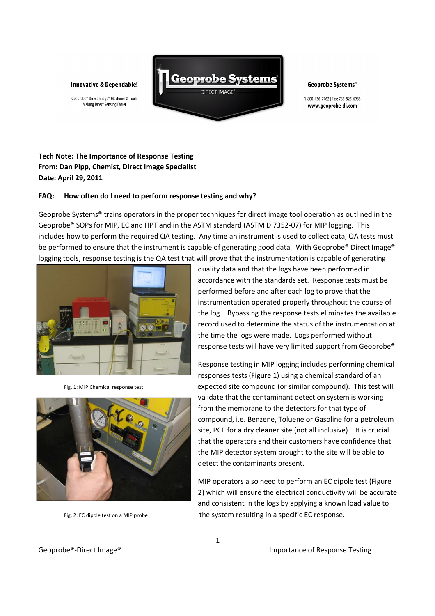**Innovative & Dependable!** 





Geoprobe Systems®

1-800-436-7762 | Fax: 785-825-6983 www.geoprobe-di.com

## **Tech Note: The Importance of Response Testing From: Dan Pipp, Chemist, Direct Image Specialist Date: April 29, 2011**

## **FAQ: How often do I need to perform response testing and why?**

Geoprobe Systems® trains operators in the proper techniques for direct image tool operation as outlined in the Geoprobe® SOPs for MIP, EC and HPT and in the ASTM standard (ASTM D 7352-07) for MIP logging. This includes how to perform the required QA testing. Any time an instrument is used to collect data, QA tests must be performed to ensure that the instrument is capable of generating good data. With Geoprobe® Direct Image® logging tools, response testing is the QA test that will prove that the instrumentation is capable of generating





quality data and that the logs have been performed in accordance with the standards set. Response tests must be performed before and after each log to prove that the instrumentation operated properly throughout the course of the log. Bypassing the response tests eliminates the available record used to determine the status of the instrumentation at the time the logs were made. Logs performed without response tests will have very limited support from Geoprobe®.

Response testing in MIP logging includes performing chemical responses tests (Figure 1) using a chemical standard of an Fig. 1: MIP Chemical response test expected site compound (or similar compound). This test will validate that the contaminant detection system is working from the membrane to the detectors for that type of compound, i.e. Benzene, Toluene or Gasoline for a petroleum site, PCE for a dry cleaner site (not all inclusive). It is crucial that the operators and their customers have confidence that the MIP detector system brought to the site will be able to detect the contaminants present.

MIP operators also need to perform an EC dipole test (Figure 2) which will ensure the electrical conductivity will be accurate and consistent in the logs by applying a known load value to Fig. 2: EC dipole test on a MIP probe the system resulting in a specific EC response.